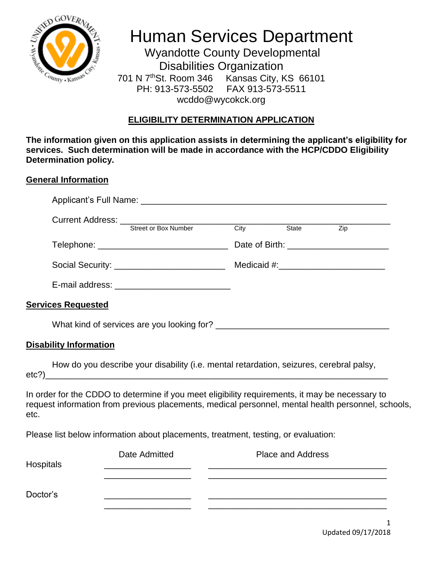

## Human Services Department

 Wyandotte County Developmental Disabilities Organization 701 N 7<sup>th</sup>St. Room 346 Kansas City, KS 66101 PH: 913-573-5502 FAX 913-573-5511 wcddo@wycokck.org

## **ELIGIBILITY DETERMINATION APPLICATION**

**The information given on this application assists in determining the applicant's eligibility for services. Such determination will be made in accordance with the HCP/CDDO Eligibility Determination policy.**

## **General Information**

|                                                                                                     |  | State | Zip                                        |
|-----------------------------------------------------------------------------------------------------|--|-------|--------------------------------------------|
| Telephone: ________________________________                                                         |  |       | Date of Birth: ___________________________ |
|                                                                                                     |  |       |                                            |
| E-mail address: _____________________________                                                       |  |       |                                            |
| <b>Services Requested</b>                                                                           |  |       |                                            |
|                                                                                                     |  |       |                                            |
| <b>Disability Information</b>                                                                       |  |       |                                            |
| How do you describe your disability (i.e. mental retardation, seizures, cerebral palsy,<br>$etc?$ ) |  |       |                                            |

In order for the CDDO to determine if you meet eligibility requirements, it may be necessary to request information from previous placements, medical personnel, mental health personnel, schools, etc.

Please list below information about placements, treatment, testing, or evaluation:

| Hospitals | Date Admitted | <b>Place and Address</b> |  |
|-----------|---------------|--------------------------|--|
|           |               |                          |  |
| Doctor's  |               |                          |  |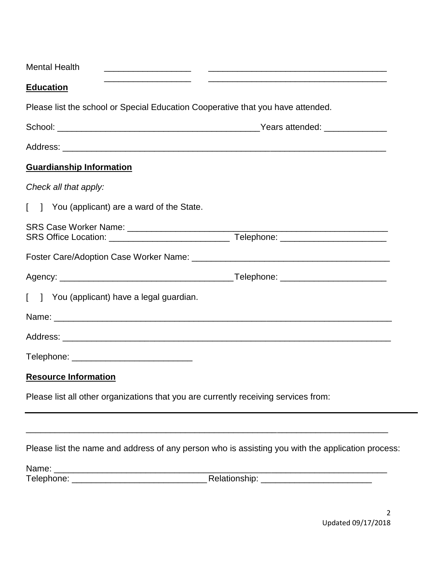| <b>Mental Health</b>                                                                           |                                                                                                   |
|------------------------------------------------------------------------------------------------|---------------------------------------------------------------------------------------------------|
| the control of the control of the control of the control of the control of<br><b>Education</b> |                                                                                                   |
| Please list the school or Special Education Cooperative that you have attended.                |                                                                                                   |
|                                                                                                |                                                                                                   |
|                                                                                                |                                                                                                   |
| <b>Guardianship Information</b>                                                                |                                                                                                   |
| Check all that apply:                                                                          |                                                                                                   |
| [ ] You (applicant) are a ward of the State.                                                   |                                                                                                   |
|                                                                                                |                                                                                                   |
|                                                                                                |                                                                                                   |
|                                                                                                |                                                                                                   |
| [ ] You (applicant) have a legal guardian.                                                     |                                                                                                   |
|                                                                                                |                                                                                                   |
|                                                                                                |                                                                                                   |
| Telephone: _________________________________                                                   |                                                                                                   |
| <b>Resource Information</b>                                                                    |                                                                                                   |
| Please list all other organizations that you are currently receiving services from:            |                                                                                                   |
|                                                                                                | Please list the name and address of any person who is assisting you with the application process: |
|                                                                                                |                                                                                                   |
|                                                                                                |                                                                                                   |